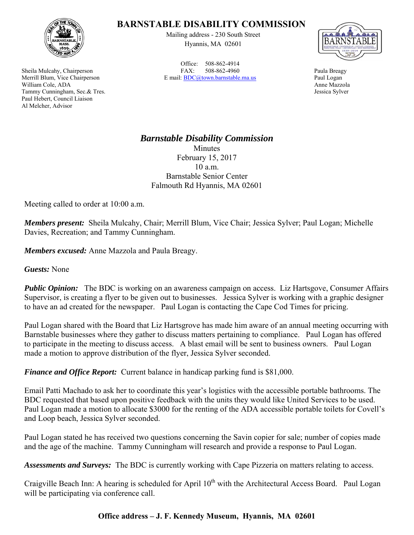

Sheila Mulcahy, Chairperson Merrill Blum, Vice Chairperson William Cole, ADA Tammy Cunningham, Sec.& Tres. Paul Hebert, Council Liaison Al Melcher, Advisor

## **BARNSTABLE DISABILITY COMMISSION**

Mailing address - 230 South Street Hyannis, MA 02601

Office: 508-862-4914 FAX: 508-862-4960 E mail: BDC@town.barnstable.ma.us



Paula Breagy Paul Logan Anne Mazzola Jessica Sylver

## *Barnstable Disability Commission*

Minutes February 15, 2017 10 a.m. Barnstable Senior Center Falmouth Rd Hyannis, MA 02601

Meeting called to order at 10:00 a.m.

*Members present:* Sheila Mulcahy, Chair; Merrill Blum, Vice Chair; Jessica Sylver; Paul Logan; Michelle Davies, Recreation; and Tammy Cunningham.

*Members excused:* Anne Mazzola and Paula Breagy.

*Guests:* None

*Public Opinion:* The BDC is working on an awareness campaign on access. Liz Hartsgove, Consumer Affairs Supervisor, is creating a flyer to be given out to businesses. Jessica Sylver is working with a graphic designer to have an ad created for the newspaper. Paul Logan is contacting the Cape Cod Times for pricing.

Paul Logan shared with the Board that Liz Hartsgrove has made him aware of an annual meeting occurring with Barnstable businesses where they gather to discuss matters pertaining to compliance. Paul Logan has offered to participate in the meeting to discuss access. A blast email will be sent to business owners. Paul Logan made a motion to approve distribution of the flyer, Jessica Sylver seconded.

*Finance and Office Report:* Current balance in handicap parking fund is \$81,000.

Email Patti Machado to ask her to coordinate this year's logistics with the accessible portable bathrooms. The BDC requested that based upon positive feedback with the units they would like United Services to be used. Paul Logan made a motion to allocate \$3000 for the renting of the ADA accessible portable toilets for Covell's and Loop beach, Jessica Sylver seconded.

Paul Logan stated he has received two questions concerning the Savin copier for sale; number of copies made and the age of the machine. Tammy Cunningham will research and provide a response to Paul Logan.

*Assessments and Surveys:* The BDC is currently working with Cape Pizzeria on matters relating to access.

Craigville Beach Inn: A hearing is scheduled for April  $10<sup>th</sup>$  with the Architectural Access Board. Paul Logan will be participating via conference call.

## **Office address – J. F. Kennedy Museum, Hyannis, MA 02601**